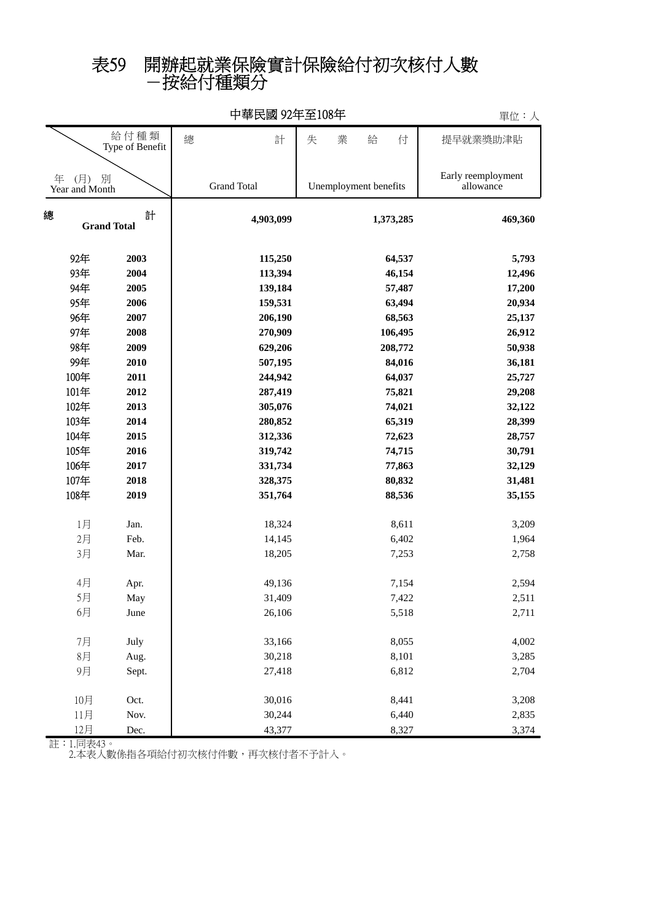## -按給付種類分 表59 開辦起就業保險實計保險給付初次核付人數

|                                 |                         |                    |                       | 干ル・ハ                            |
|---------------------------------|-------------------------|--------------------|-----------------------|---------------------------------|
|                                 | 給付種類<br>Type of Benefit | 總<br>計             | 業<br>給<br>付<br>失      | 提早就業獎助津貼                        |
| (月)<br>年<br>別<br>Year and Month |                         | <b>Grand Total</b> | Unemployment benefits | Early reemployment<br>allowance |
| 總                               | 計<br><b>Grand Total</b> | 4,903,099          | 1,373,285             | 469,360                         |
| 92年                             | 2003                    | 115,250            | 64,537                | 5,793                           |
| 93年                             | 2004                    | 113,394            | 46,154                | 12,496                          |
| 94年                             | 2005                    | 139,184            | 57,487                | 17,200                          |
| 95年                             | 2006                    | 159,531            | 63,494                | 20,934                          |
| 96年                             | 2007                    | 206,190            | 68,563                | 25,137                          |
| 97年                             | 2008                    | 270,909            | 106,495               | 26,912                          |
| 98年                             | 2009                    | 629,206            | 208,772               | 50,938                          |
| 99年                             | 2010                    | 507,195            | 84,016                | 36,181                          |
| 100年                            | 2011                    | 244,942            | 64,037                | 25,727                          |
| 101年                            | 2012                    | 287,419            | 75,821                | 29,208                          |
| 102年                            | 2013                    | 305,076            | 74,021                | 32,122                          |
| 103年                            | 2014                    | 280,852            | 65,319                | 28,399                          |
| 104年                            | 2015                    | 312,336            | 72,623                | 28,757                          |
| 105年                            | 2016                    | 319,742            | 74,715                | 30,791                          |
| 106年                            | 2017                    | 331,734            | 77,863                | 32,129                          |
| 107年                            | 2018                    | 328,375            | 80,832                | 31,481                          |
| 108年                            | 2019                    | 351,764            | 88,536                | 35,155                          |
| 1月                              | Jan.                    | 18,324             | 8,611                 | 3,209                           |
| 2月                              | Feb.                    | 14,145             | 6,402                 | 1,964                           |
| 3月                              | Mar.                    | 18,205             | 7,253                 | 2,758                           |
| 4月                              | Apr.                    | 49,136             | 7,154                 | 2,594                           |
| 5月                              | May                     | 31,409             | 7,422                 | 2,511                           |
| 6月                              | June                    | 26,106             | 5,518                 | 2,711                           |
| 7月                              | July                    | 33,166             | 8,055                 | 4,002                           |
| 8月                              | Aug.                    | 30,218             | 8,101                 | 3,285                           |
| 9月                              | Sept.                   | 27,418             | 6,812                 | 2,704                           |
| 10月                             | Oct.                    | 30,016             | 8,441                 | 3,208                           |
| 11月                             | Nov.                    | 30,244             | 6,440                 | 2,835                           |
| 12月                             | Dec.                    | 43,377             | 8,327                 | 3,374                           |

中華民國 92年至108年

單位:人

註:1.同表43。

2.本表人數係指各項給付初次核付件數,再次核付者不予計入。